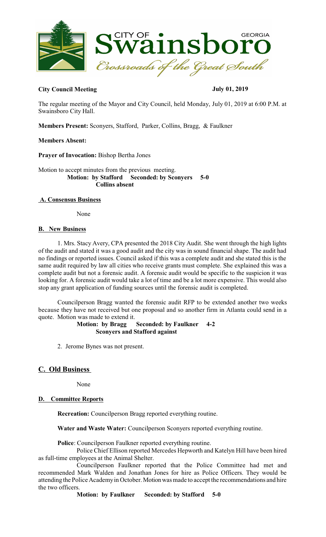

# **City Council Meeting July 01, 2019**

The regular meeting of the Mayor and City Council, held Monday, July 01, 2019 at 6:00 P.M. at Swainsboro City Hall.

**Members Present:** Sconyers, Stafford, Parker, Collins, Bragg, & Faulkner

## **Members Absent:**

**Prayer of Invocation:** Bishop Bertha Jones

Motion to accept minutes from the previous meeting.  **Motion: by Stafford Seconded: by Sconyers 5-0 Collins absent** 

## **A. Consensus Business**

None

#### **B. New Business**

1. Mrs. Stacy Avery, CPA presented the 2018 City Audit. She went through the high lights of the audit and stated it was a good audit and the city was in sound financial shape. The audit had no findings or reported issues. Council asked if this was a complete audit and she stated this is the same audit required by law all cities who receive grants must complete. She explained this was a complete audit but not a forensic audit. A forensic audit would be specific to the suspicion it was looking for. A forensic audit would take a lot of time and be a lot more expensive. This would also stop any grant application of funding sources until the forensic audit is completed.

Councilperson Bragg wanted the forensic audit RFP to be extended another two weeks because they have not received but one proposal and so another firm in Atlanta could send in a quote. Motion was made to extend it.

#### **Motion: by Bragg Seconded: by Faulkner 4-2 Sconyers and Stafford against**

2. Jerome Bynes was not present.

# **C. Old Business**

None

## **D. Committee Reports**

**Recreation:** Councilperson Bragg reported everything routine.

**Water and Waste Water:** Councilperson Sconyers reported everything routine.

**Police**: Councilperson Faulkner reported everything routine.

Police Chief Ellison reported Mercedes Hepworth and Katelyn Hill have been hired as full-time employees at the Animal Shelter.

Councilperson Faulkner reported that the Police Committee had met and recommended Mark Walden and Jonathan Jones for hire as Police Officers. They would be attending the Police Academy in October. Motion was made to accept the recommendations and hire the two officers.

**Motion: by Faulkner Seconded: by Stafford 5-0**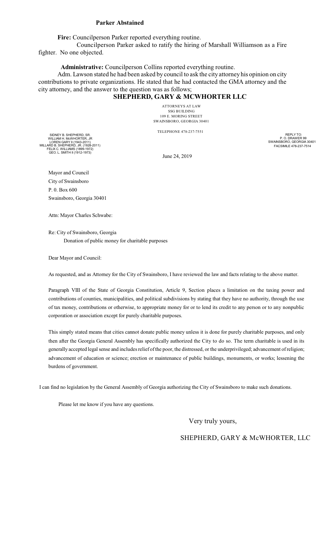#### **Parker Abstained**

**Fire:** Councilperson Parker reported everything routine.

Councilperson Parker asked to ratify the hiring of Marshall Williamson as a Fire fighter. No one objected.

**Administrative:** Councilperson Collins reported everything routine.

Adm. Lawson stated he had been asked by council to ask the city attorneyhis opinion on city contributions to private organizations. He stated that he had contacted the GMA attorney and the city attorney, and the answer to the question was as follows;

# **SHEPHERD, GARY & MCWHORTER LLC**

ATTORNEYS AT LAW SSG BUILDING 109 E. MORING STREET SWAINSBORO, GEORGIA 30401

TELEPHONE 478-237-7551

SIDNEY B. SHEPHERD, SR. WILLIAM H. McWHORTER, JR<br>LOREN GARY II (1943-2011)<br>MILLARD B. SHEPHERD, JR. (1928-2011)<br>FELIX C. WILLIAMS (1899-1972)<br>GEO. L. SMITH II (1912-1973)

June 24, 2019

REPLY TO: P. O. DRAWER 99 SWAINSBORO, GEORGIA 30401 FACSIMILE 478-237-7514

Mayor and Council City of Swainsboro P. 0. Box 600 Swainsboro, Georgia 30401

Attn: Mayor Charles Schwabe:

Re: City of Swainsboro, Georgia Donation of public money for charitable purposes

Dear Mayor and Council:

As requested, and as Attorney for the City of Swainsboro, I have reviewed the law and facts relating to the above matter.

Paragraph VIII of the State of Georgia Constitution, Article 9, Section places a limitation on the taxing power and contributions of counties, municipalities, and political subdivisions by stating that they have no authority, through the use of tax money, contributions or otherwise, to appropriate money for or to lend its credit to any person or to any nonpublic corporation or association except for purely charitable purposes.

This simply stated means that cities cannot donate public money unless it is done for purely charitable purposes, and only then after the Georgia General Assembly has specifically authorized the City to do so. The term charitable is used in its generally accepted legal sense and includesrelief ofthe poor, the distressed, or the underprivileged; advancement ofreligion; advancement of education or science; erection or maintenance of public buildings, monuments, or works; lessening the burdens of government.

I can find no legislation by the General Assembly of Georgia authorizing the City of Swainsboro to make such donations.

Please let me know if you have any questions.

Very truly yours,

# SHEPHERD, GARY & McWHORTER, LLC